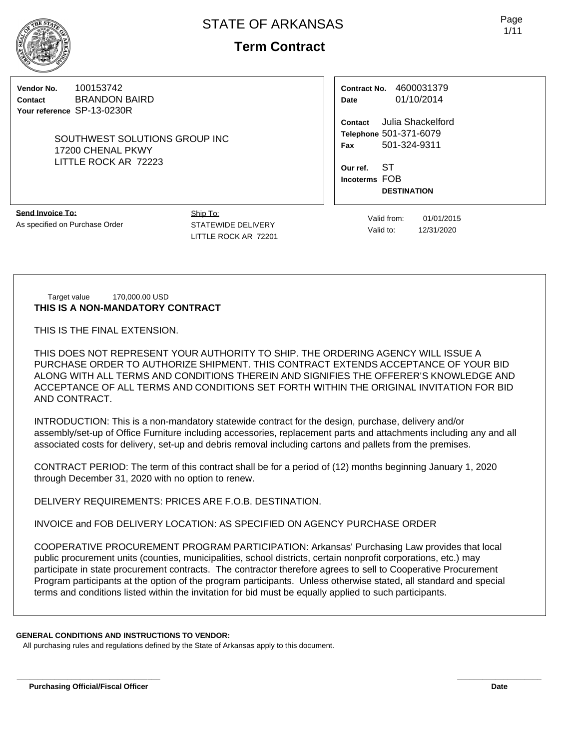

# **Term Contract**

**Vendor No.** 100153742 **Contact** BRANDON BAIRD **Your reference** SP-13-0230R

> SOUTHWEST SOLUTIONS GROUP INC 17200 CHENAL PKWY LITTLE ROCK AR 72223

**Contract No.** 4600031379 **Date** 01/10/2014

**Contact** Julia Shackelford **Telephone** 501-371-6079 **Fax** 501-324-9311

**Our ref.** ST **Incoterms** FOB **DESTINATION**

**Send Invoice To:** As specified on Purchase Order Ship To: STATEWIDE DELIVERY LITTLE ROCK AR 72201

Valid from: 01/01/2015 Valid to: 12/31/2020

Target value 170,000.00 USD **THIS IS A NON-MANDATORY CONTRACT**

THIS IS THE FINAL EXTENSION.

THIS DOES NOT REPRESENT YOUR AUTHORITY TO SHIP. THE ORDERING AGENCY WILL ISSUE A PURCHASE ORDER TO AUTHORIZE SHIPMENT. THIS CONTRACT EXTENDS ACCEPTANCE OF YOUR BID ALONG WITH ALL TERMS AND CONDITIONS THEREIN AND SIGNIFIES THE OFFERER'S KNOWLEDGE AND ACCEPTANCE OF ALL TERMS AND CONDITIONS SET FORTH WITHIN THE ORIGINAL INVITATION FOR BID AND CONTRACT.

INTRODUCTION: This is a non-mandatory statewide contract for the design, purchase, delivery and/or assembly/set-up of Office Furniture including accessories, replacement parts and attachments including any and all associated costs for delivery, set-up and debris removal including cartons and pallets from the premises.

CONTRACT PERIOD: The term of this contract shall be for a period of (12) months beginning January 1, 2020 through December 31, 2020 with no option to renew.

DELIVERY REQUIREMENTS: PRICES ARE F.O.B. DESTINATION.

INVOICE and FOB DELIVERY LOCATION: AS SPECIFIED ON AGENCY PURCHASE ORDER

COOPERATIVE PROCUREMENT PROGRAM PARTICIPATION: Arkansas' Purchasing Law provides that local public procurement units (counties, municipalities, school districts, certain nonprofit corporations, etc.) may participate in state procurement contracts. The contractor therefore agrees to sell to Cooperative Procurement Program participants at the option of the program participants. Unless otherwise stated, all standard and special terms and conditions listed within the invitation for bid must be equally applied to such participants.

**\_\_\_\_\_\_\_\_\_\_\_\_\_\_\_\_\_\_\_\_\_\_\_\_\_\_\_\_\_\_\_\_\_\_ \_\_\_\_\_\_\_\_\_\_\_\_\_\_\_\_\_\_\_\_**

#### **GENERAL CONDITIONS AND INSTRUCTIONS TO VENDOR:**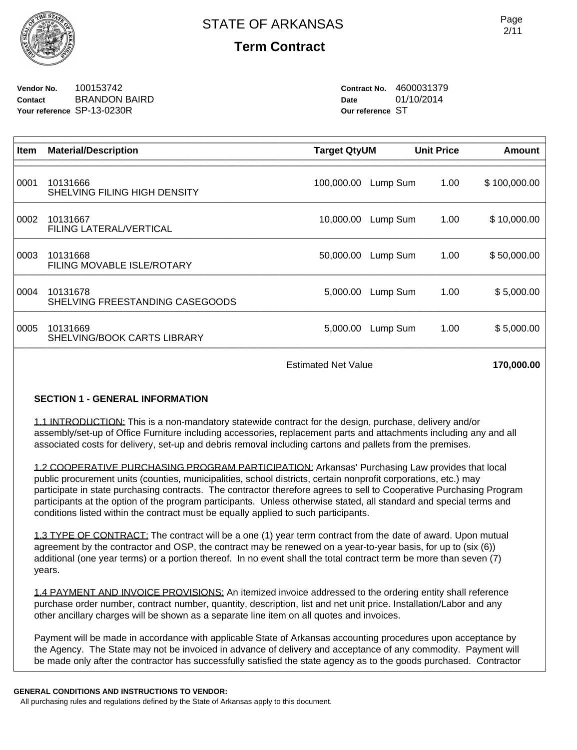

# **Term Contract**

**Vendor No.** 100153742 **Contact** BRANDON BAIRD **Your reference** SP-13-0230R

**Contract No.** 4600031379 **Date** 01/10/2014 **Our reference** ST

| Item | <b>Material/Description</b>                 | <b>Target QtyUM</b> |          | <b>Unit Price</b> | Amount       |
|------|---------------------------------------------|---------------------|----------|-------------------|--------------|
|      |                                             |                     |          |                   |              |
| 0001 | 10131666<br>SHELVING FILING HIGH DENSITY    | 100,000.00          | Lump Sum | 1.00              | \$100,000.00 |
| 0002 | 10131667<br>FILING LATERAL/VERTICAL         | 10,000.00           | Lump Sum | 1.00              | \$10,000.00  |
| 0003 | 10131668<br>FILING MOVABLE ISLE/ROTARY      | 50,000.00           | Lump Sum | 1.00              | \$50,000.00  |
| 0004 | 10131678<br>SHELVING FREESTANDING CASEGOODS | 5,000.00            | Lump Sum | 1.00              | \$5,000.00   |
| 0005 | 10131669<br>SHELVING/BOOK CARTS LIBRARY     | 5,000.00            | Lump Sum | 1.00              | \$5,000.00   |
|      | <b>Estimated Net Value</b>                  |                     |          | 170,000.00        |              |

## **SECTION 1 - GENERAL INFORMATION**

1.1 INTRODUCTION: This is a non-mandatory statewide contract for the design, purchase, delivery and/or assembly/set-up of Office Furniture including accessories, replacement parts and attachments including any and all associated costs for delivery, set-up and debris removal including cartons and pallets from the premises.

1.2 COOPERATIVE PURCHASING PROGRAM PARTICIPATION: Arkansas' Purchasing Law provides that local public procurement units (counties, municipalities, school districts, certain nonprofit corporations, etc.) may participate in state purchasing contracts. The contractor therefore agrees to sell to Cooperative Purchasing Program participants at the option of the program participants. Unless otherwise stated, all standard and special terms and conditions listed within the contract must be equally applied to such participants.

1.3 TYPE OF CONTRACT: The contract will be a one (1) year term contract from the date of award. Upon mutual agreement by the contractor and OSP, the contract may be renewed on a year-to-year basis, for up to (six (6)) additional (one year terms) or a portion thereof. In no event shall the total contract term be more than seven (7) years.

1.4 PAYMENT AND INVOICE PROVISIONS: An itemized invoice addressed to the ordering entity shall reference purchase order number, contract number, quantity, description, list and net unit price. Installation/Labor and any other ancillary charges will be shown as a separate line item on all quotes and invoices.

Payment will be made in accordance with applicable State of Arkansas accounting procedures upon acceptance by the Agency. The State may not be invoiced in advance of delivery and acceptance of any commodity. Payment will be made only after the contractor has successfully satisfied the state agency as to the goods purchased. Contractor

#### **GENERAL CONDITIONS AND INSTRUCTIONS TO VENDOR:**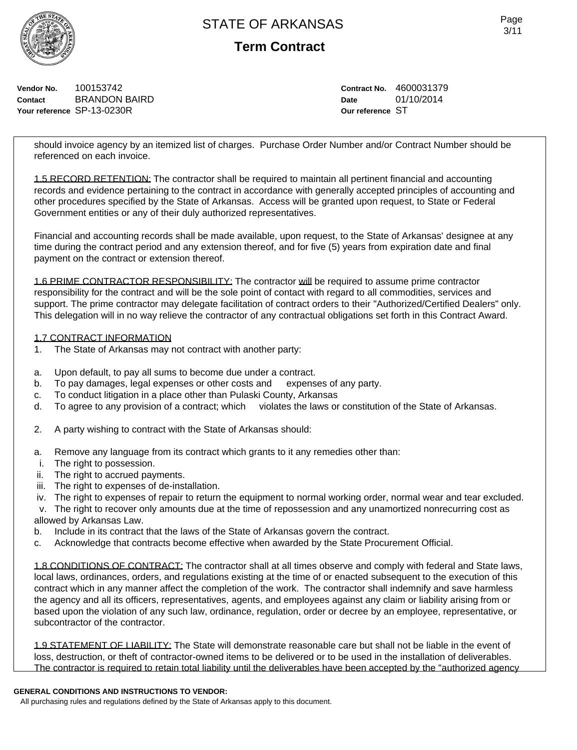

**Term Contract**

**Vendor No.** 100153742 **Contact** BRANDON BAIRD **Your reference** SP-13-0230R

**Contract No.** 4600031379 **Date** 01/10/2014 **Our reference** ST

should invoice agency by an itemized list of charges. Purchase Order Number and/or Contract Number should be referenced on each invoice.

1.5 RECORD RETENTION: The contractor shall be required to maintain all pertinent financial and accounting records and evidence pertaining to the contract in accordance with generally accepted principles of accounting and other procedures specified by the State of Arkansas. Access will be granted upon request, to State or Federal Government entities or any of their duly authorized representatives.

Financial and accounting records shall be made available, upon request, to the State of Arkansas' designee at any time during the contract period and any extension thereof, and for five (5) years from expiration date and final payment on the contract or extension thereof.

1.6 PRIME CONTRACTOR RESPONSIBILITY: The contractor will be required to assume prime contractor responsibility for the contract and will be the sole point of contact with regard to all commodities, services and support. The prime contractor may delegate facilitation of contract orders to their "Authorized/Certified Dealers" only. This delegation will in no way relieve the contractor of any contractual obligations set forth in this Contract Award.

#### 1.7 CONTRACT INFORMATION

- 1. The State of Arkansas may not contract with another party:
- a. Upon default, to pay all sums to become due under a contract.
- b. To pay damages, legal expenses or other costs and expenses of any party.
- c. To conduct litigation in a place other than Pulaski County, Arkansas
- d. To agree to any provision of a contract; which violates the laws or constitution of the State of Arkansas.
- 2. A party wishing to contract with the State of Arkansas should:
- a. Remove any language from its contract which grants to it any remedies other than:
- i. The right to possession.
- ii. The right to accrued payments.
- iii. The right to expenses of de-installation.
- iv. The right to expenses of repair to return the equipment to normal working order, normal wear and tear excluded.
- v. The right to recover only amounts due at the time of repossession and any unamortized nonrecurring cost as allowed by Arkansas Law.
- b. Include in its contract that the laws of the State of Arkansas govern the contract.
- c. Acknowledge that contracts become effective when awarded by the State Procurement Official.

1.8 CONDITIONS OF CONTRACT: The contractor shall at all times observe and comply with federal and State laws, local laws, ordinances, orders, and regulations existing at the time of or enacted subsequent to the execution of this contract which in any manner affect the completion of the work. The contractor shall indemnify and save harmless the agency and all its officers, representatives, agents, and employees against any claim or liability arising from or based upon the violation of any such law, ordinance, regulation, order or decree by an employee, representative, or subcontractor of the contractor.

1.9 STATEMENT OF LIABILITY: The State will demonstrate reasonable care but shall not be liable in the event of loss, destruction, or theft of contractor-owned items to be delivered or to be used in the installation of deliverables. The contractor is required to retain total liability until the deliverables have been accepted by the "authorized agency

## **GENERAL CONDITIONS AND INSTRUCTIONS TO VENDOR:**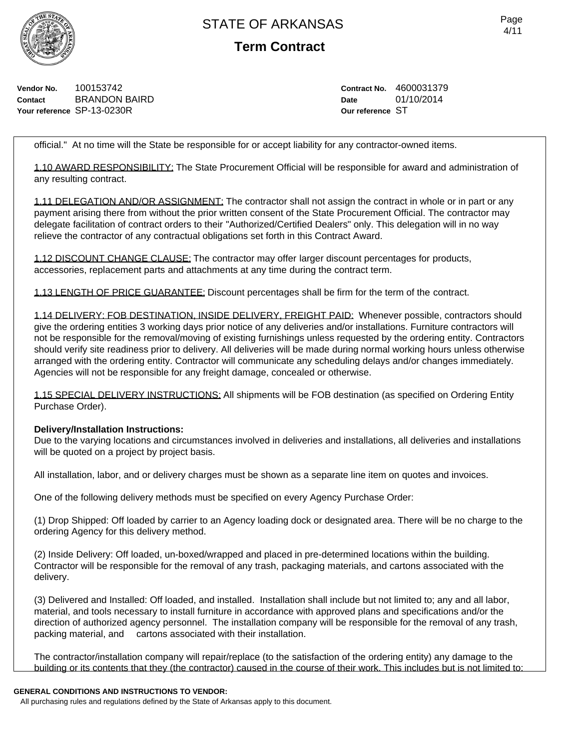

**Term Contract**

**Vendor No.** 100153742 **Contact** BRANDON BAIRD **Your reference** SP-13-0230R

**Contract No.** 4600031379 **Date** 01/10/2014 **Our reference** ST

official." At no time will the State be responsible for or accept liability for any contractor-owned items.

1.10 AWARD RESPONSIBILITY: The State Procurement Official will be responsible for award and administration of any resulting contract.

1.11 DELEGATION AND/OR ASSIGNMENT: The contractor shall not assign the contract in whole or in part or any payment arising there from without the prior written consent of the State Procurement Official. The contractor may delegate facilitation of contract orders to their "Authorized/Certified Dealers" only. This delegation will in no way relieve the contractor of any contractual obligations set forth in this Contract Award.

1.12 DISCOUNT CHANGE CLAUSE: The contractor may offer larger discount percentages for products, accessories, replacement parts and attachments at any time during the contract term.

1.13 LENGTH OF PRICE GUARANTEE: Discount percentages shall be firm for the term of the contract.

1.14 DELIVERY: FOB DESTINATION, INSIDE DELIVERY, FREIGHT PAID: Whenever possible, contractors should give the ordering entities 3 working days prior notice of any deliveries and/or installations. Furniture contractors will not be responsible for the removal/moving of existing furnishings unless requested by the ordering entity. Contractors should verify site readiness prior to delivery. All deliveries will be made during normal working hours unless otherwise arranged with the ordering entity. Contractor will communicate any scheduling delays and/or changes immediately. Agencies will not be responsible for any freight damage, concealed or otherwise.

1.15 SPECIAL DELIVERY INSTRUCTIONS: All shipments will be FOB destination (as specified on Ordering Entity Purchase Order).

#### **Delivery/Installation Instructions:**

Due to the varying locations and circumstances involved in deliveries and installations, all deliveries and installations will be quoted on a project by project basis.

All installation, labor, and or delivery charges must be shown as a separate line item on quotes and invoices.

One of the following delivery methods must be specified on every Agency Purchase Order:

(1) Drop Shipped: Off loaded by carrier to an Agency loading dock or designated area. There will be no charge to the ordering Agency for this delivery method.

(2) Inside Delivery: Off loaded, un-boxed/wrapped and placed in pre-determined locations within the building. Contractor will be responsible for the removal of any trash, packaging materials, and cartons associated with the delivery.

(3) Delivered and Installed: Off loaded, and installed. Installation shall include but not limited to; any and all labor, material, and tools necessary to install furniture in accordance with approved plans and specifications and/or the direction of authorized agency personnel. The installation company will be responsible for the removal of any trash, packing material, and cartons associated with their installation.

The contractor/installation company will repair/replace (to the satisfaction of the ordering entity) any damage to the building or its contents that they (the contractor) caused in the course of their work. This includes but is not limited to:

#### **GENERAL CONDITIONS AND INSTRUCTIONS TO VENDOR:**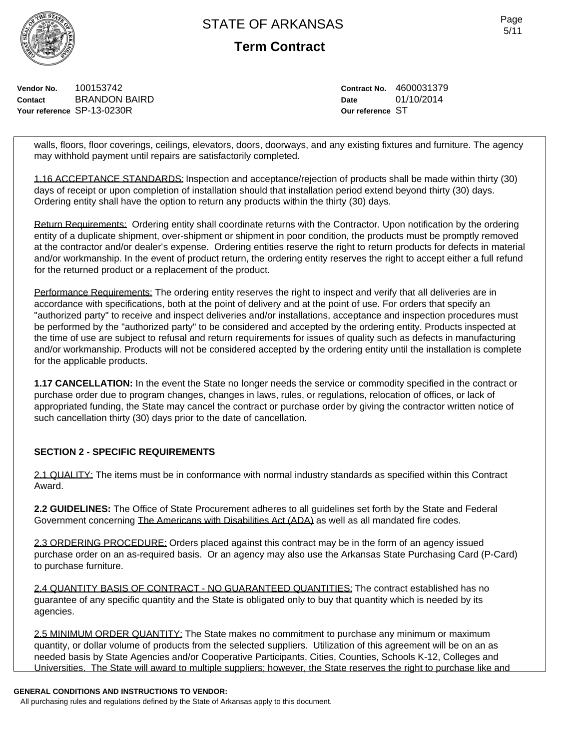**Term Contract**

**Vendor No.** 100153742 **Contact** BRANDON BAIRD **Your reference** SP-13-0230R

**Contract No.** 4600031379 **Date** 01/10/2014 **Our reference** ST

walls, floors, floor coverings, ceilings, elevators, doors, doorways, and any existing fixtures and furniture. The agency may withhold payment until repairs are satisfactorily completed.

1.16 ACCEPTANCE STANDARDS: Inspection and acceptance/rejection of products shall be made within thirty (30) days of receipt or upon completion of installation should that installation period extend beyond thirty (30) days. Ordering entity shall have the option to return any products within the thirty (30) days.

Return Requirements: Ordering entity shall coordinate returns with the Contractor. Upon notification by the ordering entity of a duplicate shipment, over-shipment or shipment in poor condition, the products must be promptly removed at the contractor and/or dealer's expense. Ordering entities reserve the right to return products for defects in material and/or workmanship. In the event of product return, the ordering entity reserves the right to accept either a full refund for the returned product or a replacement of the product.

Performance Requirements: The ordering entity reserves the right to inspect and verify that all deliveries are in accordance with specifications, both at the point of delivery and at the point of use. For orders that specify an "authorized party" to receive and inspect deliveries and/or installations, acceptance and inspection procedures must be performed by the "authorized party" to be considered and accepted by the ordering entity. Products inspected at the time of use are subject to refusal and return requirements for issues of quality such as defects in manufacturing and/or workmanship. Products will not be considered accepted by the ordering entity until the installation is complete for the applicable products.

**1.17 CANCELLATION:** In the event the State no longer needs the service or commodity specified in the contract or purchase order due to program changes, changes in laws, rules, or regulations, relocation of offices, or lack of appropriated funding, the State may cancel the contract or purchase order by giving the contractor written notice of such cancellation thirty (30) days prior to the date of cancellation.

## **SECTION 2 - SPECIFIC REQUIREMENTS**

2.1 QUALITY: The items must be in conformance with normal industry standards as specified within this Contract Award.

**2.2 GUIDELINES:** The Office of State Procurement adheres to all guidelines set forth by the State and Federal Government concerning The Americans with Disabilities Act (ADA) as well as all mandated fire codes.

2.3 ORDERING PROCEDURE: Orders placed against this contract may be in the form of an agency issued purchase order on an as-required basis. Or an agency may also use the Arkansas State Purchasing Card (P-Card) to purchase furniture.

2.4 QUANTITY BASIS OF CONTRACT - NO GUARANTEED QUANTITIES: The contract established has no guarantee of any specific quantity and the State is obligated only to buy that quantity which is needed by its agencies.

2.5 MINIMUM ORDER QUANTITY: The State makes no commitment to purchase any minimum or maximum quantity, or dollar volume of products from the selected suppliers. Utilization of this agreement will be on an as needed basis by State Agencies and/or Cooperative Participants, Cities, Counties, Schools K-12, Colleges and Universities. The State will award to multiple suppliers; however, the State reserves the right to purchase like and

#### **GENERAL CONDITIONS AND INSTRUCTIONS TO VENDOR:**

All purchasing rules and regulations defined by the State of Arkansas apply to this document.

Page 5/11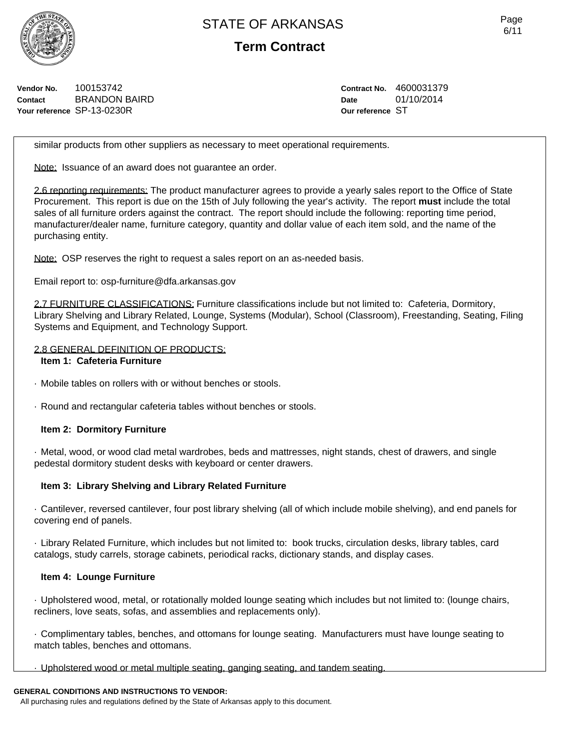

**Term Contract**

**Vendor No.** 100153742 **Contact** BRANDON BAIRD **Your reference** SP-13-0230R

**Contract No.** 4600031379 **Date** 01/10/2014 **Our reference** ST

similar products from other suppliers as necessary to meet operational requirements.

Note: Issuance of an award does not quarantee an order.

2.6 reporting requirements: The product manufacturer agrees to provide a yearly sales report to the Office of State Procurement. This report is due on the 15th of July following the year's activity. The report **must** include the total sales of all furniture orders against the contract. The report should include the following: reporting time period, manufacturer/dealer name, furniture category, quantity and dollar value of each item sold, and the name of the purchasing entity.

Note: OSP reserves the right to request a sales report on an as-needed basis.

Email report to: osp-furniture@dfa.arkansas.gov

2.7 FURNITURE CLASSIFICATIONS: Furniture classifications include but not limited to: Cafeteria, Dormitory, Library Shelving and Library Related, Lounge, Systems (Modular), School (Classroom), Freestanding, Seating, Filing Systems and Equipment, and Technology Support.

#### 2.8 GENERAL DEFINITION OF PRODUCTS:

#### **Item 1: Cafeteria Furniture**

· Mobile tables on rollers with or without benches or stools.

· Round and rectangular cafeteria tables without benches or stools.

## **Item 2: Dormitory Furniture**

· Metal, wood, or wood clad metal wardrobes, beds and mattresses, night stands, chest of drawers, and single pedestal dormitory student desks with keyboard or center drawers.

## **Item 3: Library Shelving and Library Related Furniture**

· Cantilever, reversed cantilever, four post library shelving (all of which include mobile shelving), and end panels for covering end of panels.

· Library Related Furniture, which includes but not limited to: book trucks, circulation desks, library tables, card catalogs, study carrels, storage cabinets, periodical racks, dictionary stands, and display cases.

## **Item 4: Lounge Furniture**

· Upholstered wood, metal, or rotationally molded lounge seating which includes but not limited to: (lounge chairs, recliners, love seats, sofas, and assemblies and replacements only).

· Complimentary tables, benches, and ottomans for lounge seating. Manufacturers must have lounge seating to match tables, benches and ottomans.

· Upholstered wood or metal multiple seating, ganging seating, and tandem seating.

## **GENERAL CONDITIONS AND INSTRUCTIONS TO VENDOR:**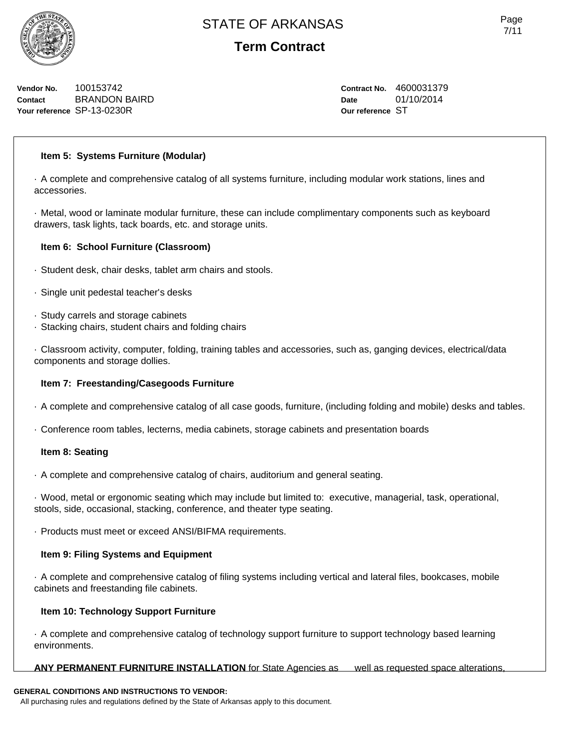

# **Term Contract**

**Vendor No.** 100153742 **Contact** BRANDON BAIRD **Your reference** SP-13-0230R

**Contract No.** 4600031379 **Date** 01/10/2014 **Our reference** ST

## **Item 5: Systems Furniture (Modular)**

· A complete and comprehensive catalog of all systems furniture, including modular work stations, lines and accessories.

· Metal, wood or laminate modular furniture, these can include complimentary components such as keyboard drawers, task lights, tack boards, etc. and storage units.

#### **Item 6: School Furniture (Classroom)**

- · Student desk, chair desks, tablet arm chairs and stools.
- · Single unit pedestal teacher's desks
- · Study carrels and storage cabinets
- · Stacking chairs, student chairs and folding chairs

· Classroom activity, computer, folding, training tables and accessories, such as, ganging devices, electrical/data components and storage dollies.

#### **Item 7: Freestanding/Casegoods Furniture**

- · A complete and comprehensive catalog of all case goods, furniture, (including folding and mobile) desks and tables.
- · Conference room tables, lecterns, media cabinets, storage cabinets and presentation boards

#### **Item 8: Seating**

· A complete and comprehensive catalog of chairs, auditorium and general seating.

· Wood, metal or ergonomic seating which may include but limited to: executive, managerial, task, operational, stools, side, occasional, stacking, conference, and theater type seating.

· Products must meet or exceed ANSI/BIFMA requirements.

## **Item 9: Filing Systems and Equipment**

· A complete and comprehensive catalog of filing systems including vertical and lateral files, bookcases, mobile cabinets and freestanding file cabinets.

#### **Item 10: Technology Support Furniture**

· A complete and comprehensive catalog of technology support furniture to support technology based learning environments.

#### **ANY PERMANENT FURNITURE INSTALLATION** for State Agencies as well as requested space alterations,

## **GENERAL CONDITIONS AND INSTRUCTIONS TO VENDOR:**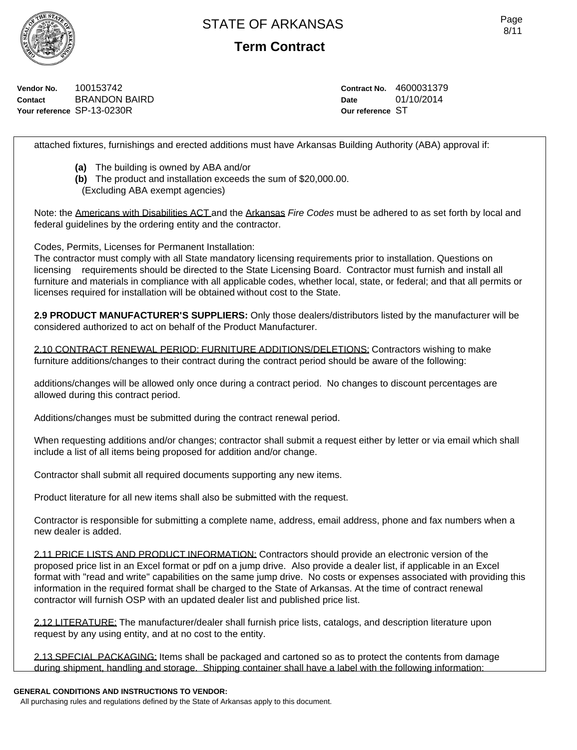

**Term Contract**

**Vendor No.** 100153742 **Contact** BRANDON BAIRD **Your reference** SP-13-0230R

**Contract No.** 4600031379 **Date** 01/10/2014 **Our reference** ST

attached fixtures, furnishings and erected additions must have Arkansas Building Authority (ABA) approval if:

- **(a)** The building is owned by ABA and/or
- **(b)** The product and installation exceeds the sum of \$20,000.00.
- (Excluding ABA exempt agencies)

Note: the Americans with Disabilities ACT and the Arkansas *Fire Codes* must be adhered to as set forth by local and federal guidelines by the ordering entity and the contractor.

Codes, Permits, Licenses for Permanent Installation:

The contractor must comply with all State mandatory licensing requirements prior to installation. Questions on licensing requirements should be directed to the State Licensing Board. Contractor must furnish and install all furniture and materials in compliance with all applicable codes, whether local, state, or federal; and that all permits or licenses required for installation will be obtained without cost to the State.

**2.9 PRODUCT MANUFACTURER'S SUPPLIERS:** Only those dealers/distributors listed by the manufacturer will be considered authorized to act on behalf of the Product Manufacturer.

2.10 CONTRACT RENEWAL PERIOD: FURNITURE ADDITIONS/DELETIONS: Contractors wishing to make furniture additions/changes to their contract during the contract period should be aware of the following:

additions/changes will be allowed only once during a contract period. No changes to discount percentages are allowed during this contract period.

Additions/changes must be submitted during the contract renewal period.

When requesting additions and/or changes; contractor shall submit a request either by letter or via email which shall include a list of all items being proposed for addition and/or change.

Contractor shall submit all required documents supporting any new items.

Product literature for all new items shall also be submitted with the request.

Contractor is responsible for submitting a complete name, address, email address, phone and fax numbers when a new dealer is added.

2.11 PRICE LISTS AND PRODUCT INFORMATION: Contractors should provide an electronic version of the proposed price list in an Excel format or pdf on a jump drive. Also provide a dealer list, if applicable in an Excel format with "read and write" capabilities on the same jump drive. No costs or expenses associated with providing this information in the required format shall be charged to the State of Arkansas. At the time of contract renewal contractor will furnish OSP with an updated dealer list and published price list.

2.12 LITERATURE: The manufacturer/dealer shall furnish price lists, catalogs, and description literature upon request by any using entity, and at no cost to the entity.

2.13 SPECIAL PACKAGING: Items shall be packaged and cartoned so as to protect the contents from damage during shipment, handling and storage. Shipping container shall have a label with the following information:

#### **GENERAL CONDITIONS AND INSTRUCTIONS TO VENDOR:**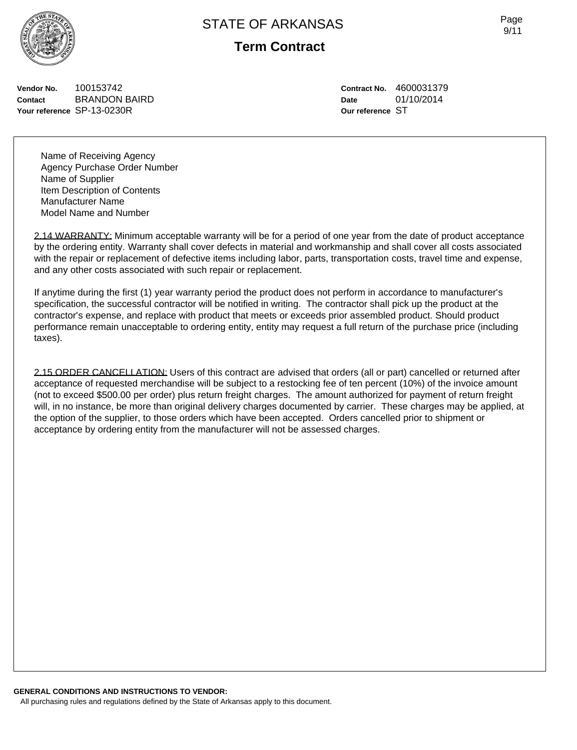

**Term Contract**

**Vendor No.** 100153742 **Contact** BRANDON BAIRD **Your reference** SP-13-0230R

Name of Receiving Agency Agency Purchase Order Number Name of Supplier Item Description of Contents Manufacturer Name Model Name and Number

2.14 WARRANTY: Minimum acceptable warranty will be for a period of one year from the date of product acceptance by the ordering entity. Warranty shall cover defects in material and workmanship and shall cover all costs associated with the repair or replacement of defective items including labor, parts, transportation costs, travel time and expense, and any other costs associated with such repair or replacement.

If anytime during the first (1) year warranty period the product does not perform in accordance to manufacturer's specification, the successful contractor will be notified in writing. The contractor shall pick up the product at the contractor's expense, and replace with product that meets or exceeds prior assembled product. Should product performance remain unacceptable to ordering entity, entity may request a full return of the purchase price (including taxes).

2.15 ORDER CANCELLATION: Users of this contract are advised that orders (all or part) cancelled or returned after acceptance of requested merchandise will be subject to a restocking fee of ten percent (10%) of the invoice amount (not to exceed \$500.00 per order) plus return freight charges. The amount authorized for payment of return freight will, in no instance, be more than original delivery charges documented by carrier. These charges may be applied, at the option of the supplier, to those orders which have been accepted. Orders cancelled prior to shipment or acceptance by ordering entity from the manufacturer will not be assessed charges.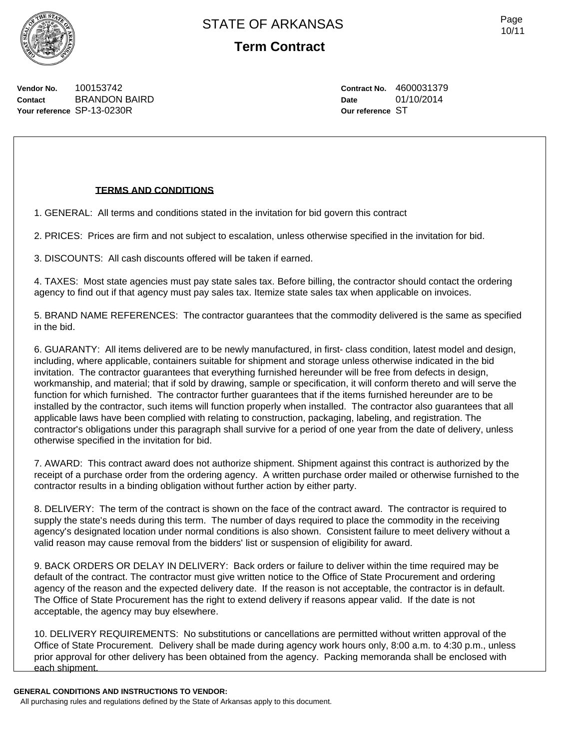

**Term Contract**

**Vendor No.** 100153742 **Contact** BRANDON BAIRD **Your reference** SP-13-0230R

#### **TERMS AND CONDITIONS**

1. GENERAL: All terms and conditions stated in the invitation for bid govern this contract

2. PRICES: Prices are firm and not subject to escalation, unless otherwise specified in the invitation for bid.

3. DISCOUNTS: All cash discounts offered will be taken if earned.

4. TAXES: Most state agencies must pay state sales tax. Before billing, the contractor should contact the ordering agency to find out if that agency must pay sales tax. Itemize state sales tax when applicable on invoices.

5. BRAND NAME REFERENCES: The contractor guarantees that the commodity delivered is the same as specified in the bid.

6. GUARANTY: All items delivered are to be newly manufactured, in first- class condition, latest model and design, including, where applicable, containers suitable for shipment and storage unless otherwise indicated in the bid invitation. The contractor guarantees that everything furnished hereunder will be free from defects in design, workmanship, and material; that if sold by drawing, sample or specification, it will conform thereto and will serve the function for which furnished. The contractor further guarantees that if the items furnished hereunder are to be installed by the contractor, such items will function properly when installed. The contractor also guarantees that all applicable laws have been complied with relating to construction, packaging, labeling, and registration. The contractor's obligations under this paragraph shall survive for a period of one year from the date of delivery, unless otherwise specified in the invitation for bid.

7. AWARD: This contract award does not authorize shipment. Shipment against this contract is authorized by the receipt of a purchase order from the ordering agency. A written purchase order mailed or otherwise furnished to the contractor results in a binding obligation without further action by either party.

8. DELIVERY: The term of the contract is shown on the face of the contract award. The contractor is required to supply the state's needs during this term. The number of days required to place the commodity in the receiving agency's designated location under normal conditions is also shown. Consistent failure to meet delivery without a valid reason may cause removal from the bidders' list or suspension of eligibility for award.

9. BACK ORDERS OR DELAY IN DELIVERY: Back orders or failure to deliver within the time required may be default of the contract. The contractor must give written notice to the Office of State Procurement and ordering agency of the reason and the expected delivery date. If the reason is not acceptable, the contractor is in default. The Office of State Procurement has the right to extend delivery if reasons appear valid. If the date is not acceptable, the agency may buy elsewhere.

10. DELIVERY REQUIREMENTS: No substitutions or cancellations are permitted without written approval of the Office of State Procurement. Delivery shall be made during agency work hours only, 8:00 a.m. to 4:30 p.m., unless prior approval for other delivery has been obtained from the agency. Packing memoranda shall be enclosed with each shipment.

#### **GENERAL CONDITIONS AND INSTRUCTIONS TO VENDOR:**